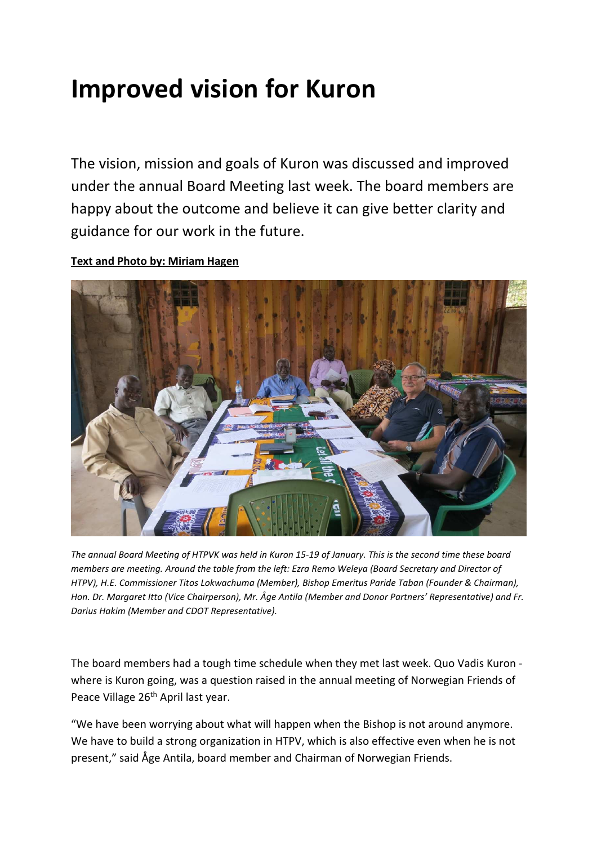# **Improved vision for Kuron**

The vision, mission and goals of Kuron was discussed and improved under the annual Board Meeting last week. The board members are happy about the outcome and believe it can give better clarity and guidance for our work in the future.

# **Text and Photo by: Miriam Hagen**



*The annual Board Meeting of HTPVK was held in Kuron 15-19 of January. This is the second time these board members are meeting. Around the table from the left: Ezra Remo Weleya (Board Secretary and Director of HTPV), H.E. Commissioner Titos Lokwachuma (Member), Bishop Emeritus Paride Taban (Founder & Chairman), Hon. Dr. Margaret Itto (Vice Chairperson), Mr. Åge Antila (Member and Donor Partners' Representative) and Fr. Darius Hakim (Member and CDOT Representative).* 

The board members had a tough time schedule when they met last week. Quo Vadis Kuron where is Kuron going, was a question raised in the annual meeting of Norwegian Friends of Peace Village 26<sup>th</sup> April last year.

"We have been worrying about what will happen when the Bishop is not around anymore. We have to build a strong organization in HTPV, which is also effective even when he is not present," said Åge Antila, board member and Chairman of Norwegian Friends.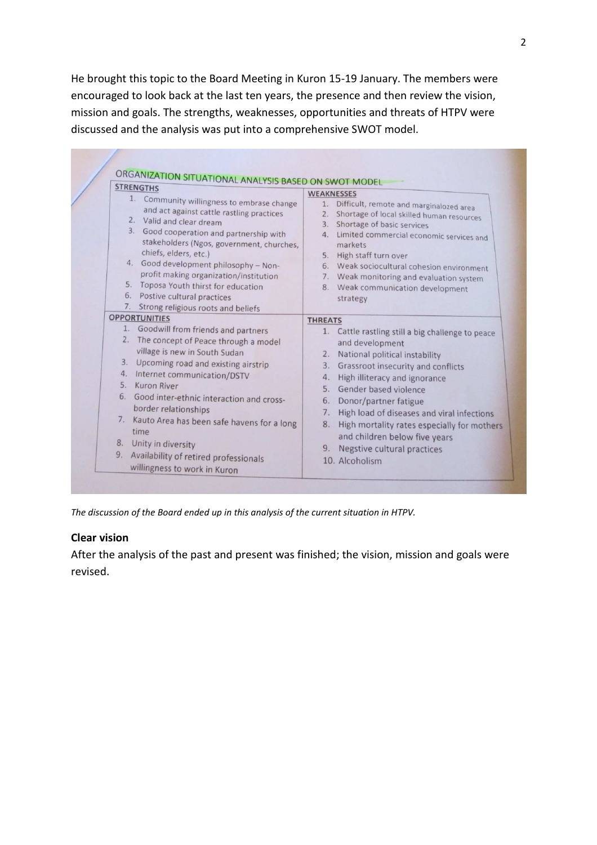He brought this topic to the Board Meeting in Kuron 15-19 January. The members were encouraged to look back at the last ten years, the presence and then review the vision, mission and goals. The strengths, weaknesses, opportunities and threats of HTPV were discussed and the analysis was put into a comprehensive SWOT model.

| <b>STRENGTHS</b><br>1. Community willingness to embrase change<br>and act against cattle rastling practices<br>2. Valid and clear dream<br>3. Good cooperation and partnership with<br>stakeholders (Ngos, government, churches,<br>chiefs, elders, etc.)<br>4. Good development philosophy - Non-<br>profit making organization/institution<br>5. Toposa Youth thirst for education<br>6. Postive cultural practices                                                                                              | <b>WEAKNESSES</b><br>Difficult, remote and marginalozed area<br>1.<br>Shortage of local skilled human resources<br>Shortage of basic services<br>3.<br>Limited commercial economic services and<br>4.<br>markets<br>High staff turn over<br>5.<br>6. Weak sociocultural cohesion environment<br>7. Weak monitoring and evaluation system<br>8. Weak communication development<br>strategy                                                                               |
|--------------------------------------------------------------------------------------------------------------------------------------------------------------------------------------------------------------------------------------------------------------------------------------------------------------------------------------------------------------------------------------------------------------------------------------------------------------------------------------------------------------------|-------------------------------------------------------------------------------------------------------------------------------------------------------------------------------------------------------------------------------------------------------------------------------------------------------------------------------------------------------------------------------------------------------------------------------------------------------------------------|
| 7. Strong religious roots and beliefs<br><b>OPPORTUNITIES</b><br>1. Goodwill from friends and partners<br>2. The concept of Peace through a model<br>village is new in South Sudan<br>Upcoming road and existing airstrip<br>4. Internet communication/DSTV<br>5. Kuron River<br>6. Good inter-ethnic interaction and cross-<br>border relationships<br>7. Kauto Area has been safe havens for a long<br>time<br>8. Unity in diversity<br>9. Availability of retired professionals<br>willingness to work in Kuron | <b>THREATS</b><br>1. Cattle rastling still a big challenge to peace<br>and development<br>National political instability<br>2.<br>Grassroot insecurity and conflicts<br>3.<br>High illiteracy and ignorance<br>4.<br>5. Gender based violence<br>Donor/partner fatigue<br>6.<br>High load of diseases and viral infections<br>7.<br>8. High mortality rates especially for mothers<br>and children below five years<br>9. Negstive cultural practices<br>10. Alcoholism |

*The discussion of the Board ended up in this analysis of the current situation in HTPV.* 

## **Clear vision**

After the analysis of the past and present was finished; the vision, mission and goals were revised.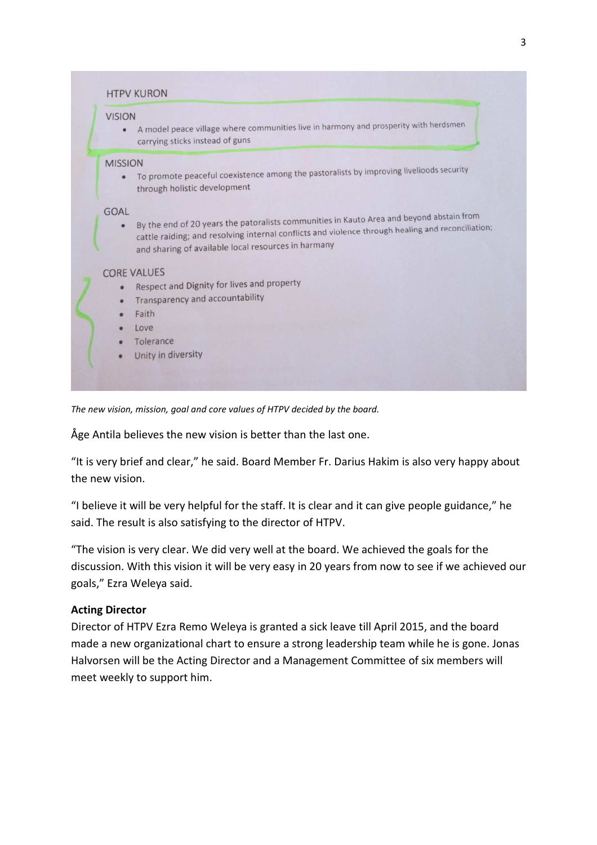| <b>VISION</b>            | A model peace village where communities live in harmony and prosperity with herdsmen                                                                                                                                                                 |
|--------------------------|------------------------------------------------------------------------------------------------------------------------------------------------------------------------------------------------------------------------------------------------------|
| $\bullet$                | carrying sticks instead of guns                                                                                                                                                                                                                      |
| <b>MISSION</b>           | To promote peaceful coexistence among the pastoralists by improving livelioods security                                                                                                                                                              |
| $\bullet$                | through holistic development                                                                                                                                                                                                                         |
| <b>GOAL</b><br>$\bullet$ | By the end of 20 years the patoralists communities in Kauto Area and beyond abstain from<br>cattle raiding; and resolving internal conflicts and violence through healing and reconciliation;<br>and sharing of available local resources in harmany |
| ٠<br>$\bullet$<br>۰      | <b>CORE VALUES</b><br>Respect and Dignity for lives and property<br>Transparency and accountability<br>Faith<br>Love<br>Tolerance<br>Unity in diversity                                                                                              |

*The new vision, mission, goal and core values of HTPV decided by the board.* 

Åge Antila believes the new vision is better than the last one.

"It is very brief and clear," he said. Board Member Fr. Darius Hakim is also very happy about the new vision.

"I believe it will be very helpful for the staff. It is clear and it can give people guidance," he said. The result is also satisfying to the director of HTPV.

"The vision is very clear. We did very well at the board. We achieved the goals for the discussion. With this vision it will be very easy in 20 years from now to see if we achieved our goals," Ezra Weleya said.

## **Acting Director**

Director of HTPV Ezra Remo Weleya is granted a sick leave till April 2015, and the board made a new organizational chart to ensure a strong leadership team while he is gone. Jonas Halvorsen will be the Acting Director and a Management Committee of six members will meet weekly to support him.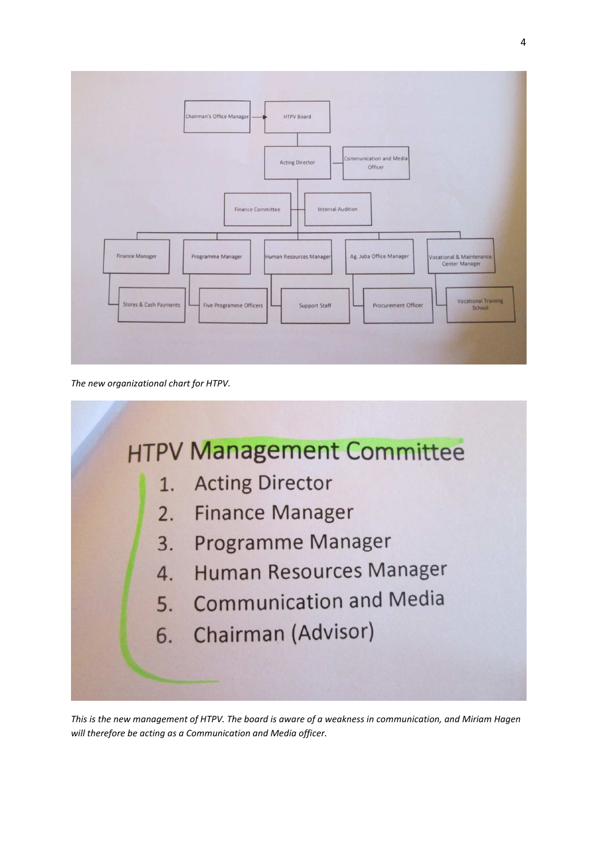

*The new organizational chart for HTPV.* 



*This is the new management of HTPV. The board is aware of a weakness in communication, and Miriam Hagen will therefore be acting as a Communication and Media officer.*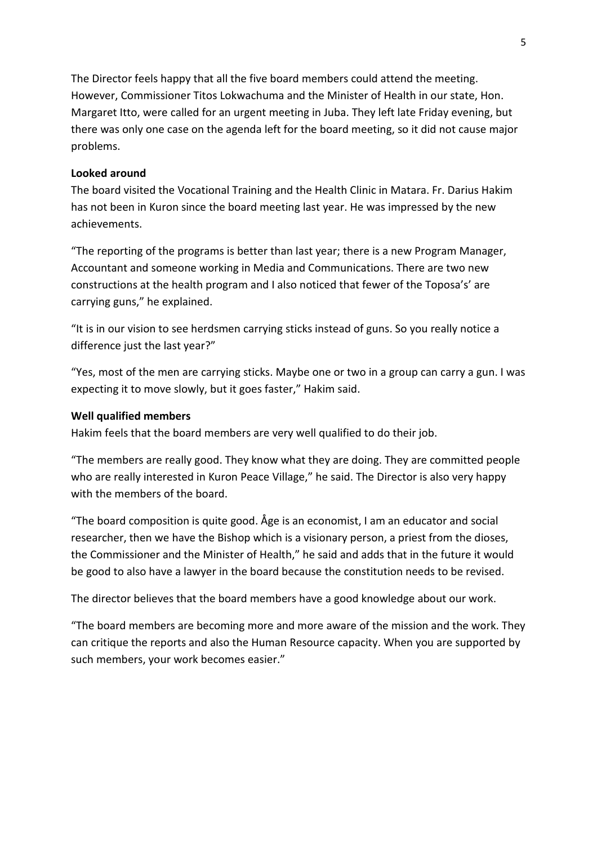The Director feels happy that all the five board members could attend the meeting. However, Commissioner Titos Lokwachuma and the Minister of Health in our state, Hon. Margaret Itto, were called for an urgent meeting in Juba. They left late Friday evening, but there was only one case on the agenda left for the board meeting, so it did not cause major problems.

#### **Looked around**

The board visited the Vocational Training and the Health Clinic in Matara. Fr. Darius Hakim has not been in Kuron since the board meeting last year. He was impressed by the new achievements.

"The reporting of the programs is better than last year; there is a new Program Manager, Accountant and someone working in Media and Communications. There are two new constructions at the health program and I also noticed that fewer of the Toposa's' are carrying guns," he explained.

"It is in our vision to see herdsmen carrying sticks instead of guns. So you really notice a difference just the last year?"

"Yes, most of the men are carrying sticks. Maybe one or two in a group can carry a gun. I was expecting it to move slowly, but it goes faster," Hakim said.

#### **Well qualified members**

Hakim feels that the board members are very well qualified to do their job.

"The members are really good. They know what they are doing. They are committed people who are really interested in Kuron Peace Village," he said. The Director is also very happy with the members of the board.

"The board composition is quite good. Åge is an economist, I am an educator and social researcher, then we have the Bishop which is a visionary person, a priest from the dioses, the Commissioner and the Minister of Health," he said and adds that in the future it would be good to also have a lawyer in the board because the constitution needs to be revised.

The director believes that the board members have a good knowledge about our work.

"The board members are becoming more and more aware of the mission and the work. They can critique the reports and also the Human Resource capacity. When you are supported by such members, your work becomes easier."